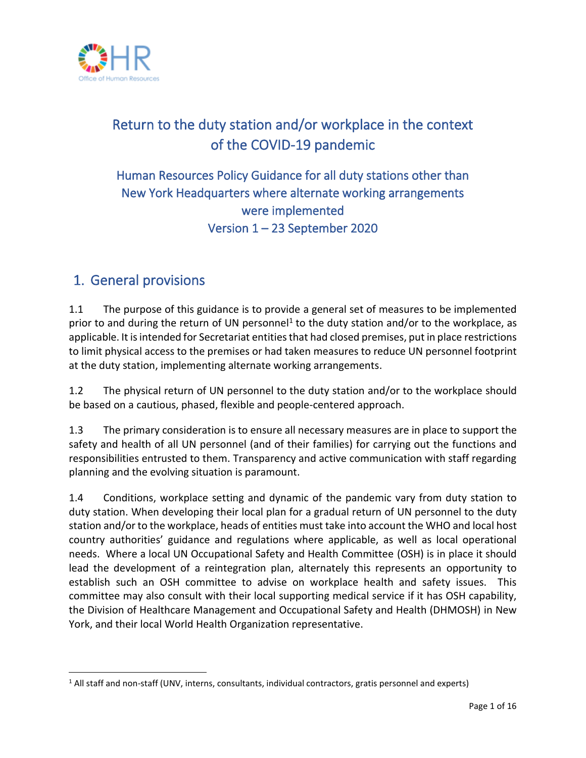

# Return to the duty station and/or workplace in the context of the COVID-19 pandemic

# Human Resources Policy Guidance for all duty stations other than New York Headquarters where alternate working arrangements were implemented Version 1 – 23 September 2020

# 1. General provisions

1.1 The purpose of this guidance is to provide a general set of measures to be implemented prior to and during the return of UN personnel<sup>1</sup> to the duty station and/or to the workplace, as applicable. It is intended for Secretariat entities that had closed premises, put in place restrictions to limit physical access to the premises or had taken measures to reduce UN personnel footprint at the duty station, implementing alternate working arrangements.

1.2 The physical return of UN personnel to the duty station and/or to the workplace should be based on a cautious, phased, flexible and people-centered approach.

1.3 The primary consideration is to ensure all necessary measures are in place to support the safety and health of all UN personnel (and of their families) for carrying out the functions and responsibilities entrusted to them. Transparency and active communication with staff regarding planning and the evolving situation is paramount.

1.4 Conditions, workplace setting and dynamic of the pandemic vary from duty station to duty station. When developing their local plan for a gradual return of UN personnel to the duty station and/or to the workplace, heads of entities must take into account the WHO and local host country authorities' guidance and regulations where applicable, as well as local operational needs. Where a local UN Occupational Safety and Health Committee (OSH) is in place it should lead the development of a reintegration plan, alternately this represents an opportunity to establish such an OSH committee to advise on workplace health and safety issues. This committee may also consult with their local supporting medical service if it has OSH capability, the Division of Healthcare Management and Occupational Safety and Health (DHMOSH) in New York, and their local World Health Organization representative.

<sup>&</sup>lt;sup>1</sup> All staff and non-staff (UNV, interns, consultants, individual contractors, gratis personnel and experts)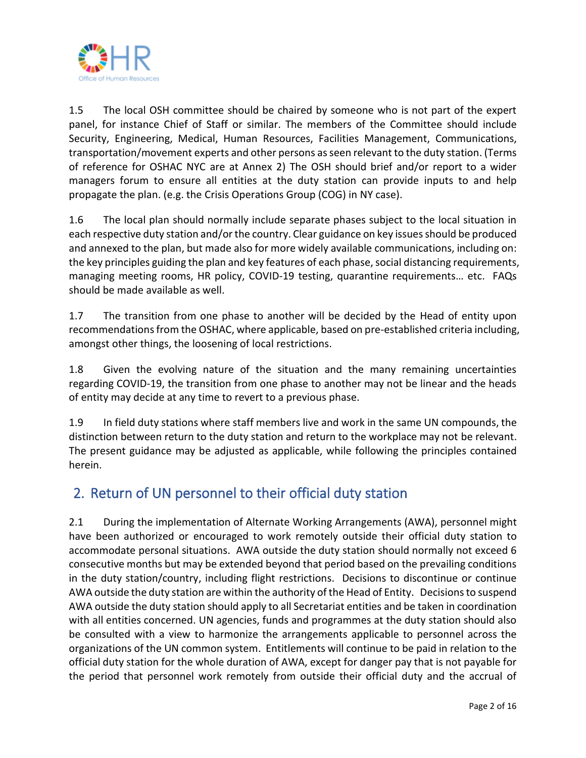

1.5 The local OSH committee should be chaired by someone who is not part of the expert panel, for instance Chief of Staff or similar. The members of the Committee should include Security, Engineering, Medical, Human Resources, Facilities Management, Communications, transportation/movement experts and other persons as seen relevant to the duty station. (Terms of reference for OSHAC NYC are at Annex 2) The OSH should brief and/or report to a wider managers forum to ensure all entities at the duty station can provide inputs to and help propagate the plan. (e.g. the Crisis Operations Group (COG) in NY case).

1.6 The local plan should normally include separate phases subject to the local situation in each respective duty station and/or the country. Clear guidance on key issues should be produced and annexed to the plan, but made also for more widely available communications, including on: the key principles guiding the plan and key features of each phase, social distancing requirements, managing meeting rooms, HR policy, COVID-19 testing, quarantine requirements… etc. FAQs should be made available as well.

1.7 The transition from one phase to another will be decided by the Head of entity upon recommendations from the OSHAC, where applicable, based on pre-established criteria including, amongst other things, the loosening of local restrictions.

1.8 Given the evolving nature of the situation and the many remaining uncertainties regarding COVID-19, the transition from one phase to another may not be linear and the heads of entity may decide at any time to revert to a previous phase.

1.9 In field duty stations where staff members live and work in the same UN compounds, the distinction between return to the duty station and return to the workplace may not be relevant. The present guidance may be adjusted as applicable, while following the principles contained herein.

# 2. Return of UN personnel to their official duty station

2.1 During the implementation of Alternate Working Arrangements (AWA), personnel might have been authorized or encouraged to work remotely outside their official duty station to accommodate personal situations. AWA outside the duty station should normally not exceed 6 consecutive months but may be extended beyond that period based on the prevailing conditions in the duty station/country, including flight restrictions. Decisions to discontinue or continue AWA outside the duty station are within the authority of the Head of Entity. Decisionsto suspend AWA outside the duty station should apply to all Secretariat entities and be taken in coordination with all entities concerned. UN agencies, funds and programmes at the duty station should also be consulted with a view to harmonize the arrangements applicable to personnel across the organizations of the UN common system. Entitlements will continue to be paid in relation to the official duty station for the whole duration of AWA, except for danger pay that is not payable for the period that personnel work remotely from outside their official duty and the accrual of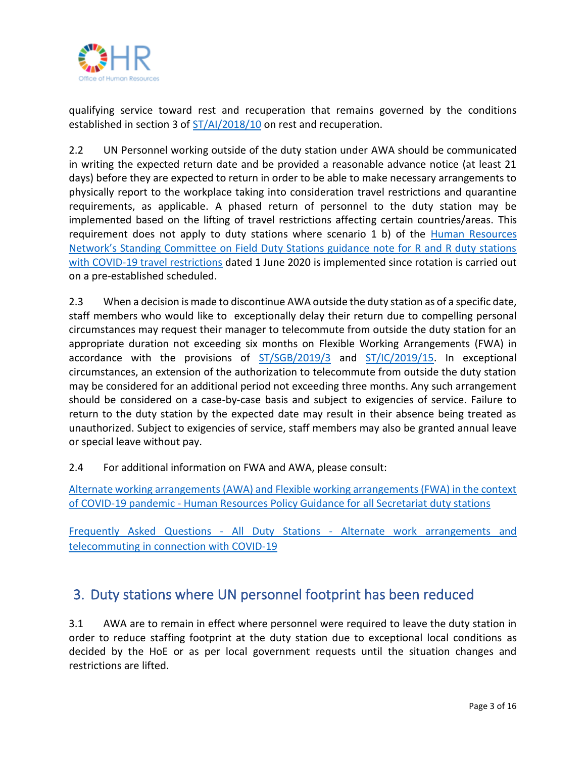

qualifying service toward rest and recuperation that remains governed by the conditions established in section 3 of  $ST/Al/2018/10$  on rest and recuperation.

2.2 UN Personnel working outside of the duty station under AWA should be communicated in writing the expected return date and be provided a reasonable advance notice (at least 21 days) before they are expected to return in order to be able to make necessary arrangements to physically report to the workplace taking into consideration travel restrictions and quarantine requirements, as applicable. A phased return of personnel to the duty station may be implemented based on the lifting of travel restrictions affecting certain countries/areas. This requirement does not apply to duty stations where scenario 1 b) of the [Human Resources](https://www.un.org/sites/un2.un.org/files/covid_001_guidance_for_duty_stations_in_covid-19-affected_countries_entitled_to_rr_ra_e.pdf)  [Network's Standing Committee on Field Duty Stations guidance note for R and R duty stations](https://www.un.org/sites/un2.un.org/files/covid_001_guidance_for_duty_stations_in_covid-19-affected_countries_entitled_to_rr_ra_e.pdf)  [with COVID-19 travel restrictions](https://www.un.org/sites/un2.un.org/files/covid_001_guidance_for_duty_stations_in_covid-19-affected_countries_entitled_to_rr_ra_e.pdf) dated 1 June 2020 is implemented since rotation is carried out on a pre-established scheduled.

2.3 When a decision is made to discontinue AWA outside the duty station as of a specific date, staff members who would like to exceptionally delay their return due to compelling personal circumstances may request their manager to telecommute from outside the duty station for an appropriate duration not exceeding six months on Flexible Working Arrangements (FWA) in accordance with the provisions of [ST/SGB/2019/3](https://undocs.org/ST/SGB/2019/3) and [ST/IC/2019/15.](https://undocs.org/ST/IC/2019/15) In exceptional circumstances, an extension of the authorization to telecommute from outside the duty station may be considered for an additional period not exceeding three months. Any such arrangement should be considered on a case-by-case basis and subject to exigencies of service. Failure to return to the duty station by the expected date may result in their absence being treated as unauthorized. Subject to exigencies of service, staff members may also be granted annual leave or special leave without pay.

2.4 For additional information on FWA and AWA, please consult:

[Alternate working arrangements \(AWA\) and Flexible working arrangements \(FWA\) in the context](https://iseek.un.org/system/files/ohr_guidance_faqs_for_return_to_premises_approved_21_07_2020.pdf)  of COVID-19 pandemic - [Human Resources Policy Guidance for all Secretariat duty stations](https://iseek.un.org/system/files/ohr_guidance_faqs_for_return_to_premises_approved_21_07_2020.pdf)

Frequently Asked Questions - All Duty Stations - [Alternate work arrangements and](https://iseek.un.org/system/files/faqs_alternate_work_and_telecommuting_covid-19_approved_21_07_2020.pdf)  [telecommuting in connection with COVID-19](https://iseek.un.org/system/files/faqs_alternate_work_and_telecommuting_covid-19_approved_21_07_2020.pdf)

# 3. Duty stations where UN personnel footprint has been reduced

3.1 AWA are to remain in effect where personnel were required to leave the duty station in order to reduce staffing footprint at the duty station due to exceptional local conditions as decided by the HoE or as per local government requests until the situation changes and restrictions are lifted.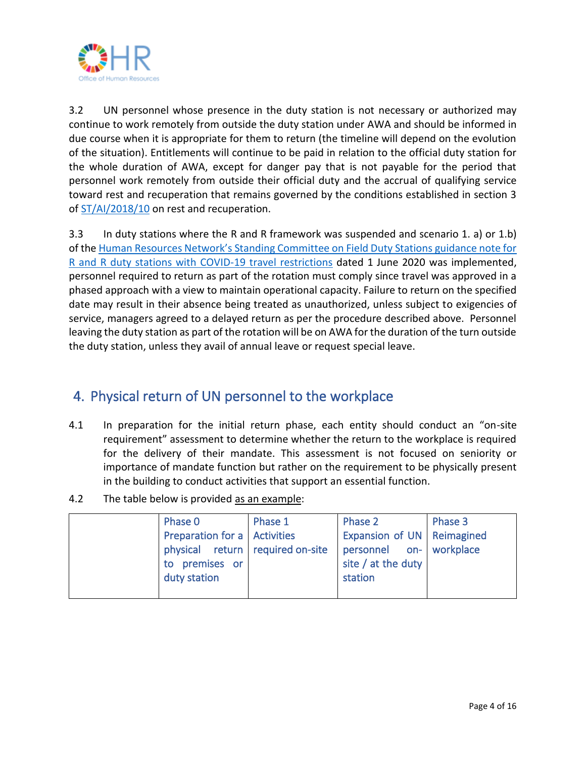

3.2 UN personnel whose presence in the duty station is not necessary or authorized may continue to work remotely from outside the duty station under AWA and should be informed in due course when it is appropriate for them to return (the timeline will depend on the evolution of the situation). Entitlements will continue to be paid in relation to the official duty station for the whole duration of AWA, except for danger pay that is not payable for the period that personnel work remotely from outside their official duty and the accrual of qualifying service toward rest and recuperation that remains governed by the conditions established in section 3 o[f ST/AI/2018/10](https://undocs.org/ST/AI/2018/10) on rest and recuperation.

3.3 In duty stations where the R and R framework was suspended and scenario 1. a) or 1.b) of the [Human Resources Network's Standing Committee on Field Duty Stations guidance note for](https://www.un.org/sites/un2.un.org/files/covid_001_guidance_for_duty_stations_in_covid-19-affected_countries_entitled_to_rr_ra_e.pdf)  R and R [duty stations with COVID-19 travel restrictions](https://www.un.org/sites/un2.un.org/files/covid_001_guidance_for_duty_stations_in_covid-19-affected_countries_entitled_to_rr_ra_e.pdf) dated 1 June 2020 was implemented, personnel required to return as part of the rotation must comply since travel was approved in a phased approach with a view to maintain operational capacity. Failure to return on the specified date may result in their absence being treated as unauthorized, unless subject to exigencies of service, managers agreed to a delayed return as per the procedure described above. Personnel leaving the duty station as part of the rotation will be on AWA for the duration of the turn outside the duty station, unless they avail of annual leave or request special leave.

# 4. Physical return of UN personnel to the workplace

- 4.1 In preparation for the initial return phase, each entity should conduct an "on-site requirement" assessment to determine whether the return to the workplace is required for the delivery of their mandate. This assessment is not focused on seniority or importance of mandate function but rather on the requirement to be physically present in the building to conduct activities that support an essential function.
- 4.2 The table below is provided as an example:

| Phase 0                          | Phase 1 | Phase 2                             | Phase 3 |
|----------------------------------|---------|-------------------------------------|---------|
| Preparation for a   Activities   |         | <b>Expansion of UN   Reimagined</b> |         |
| physical return required on-site |         | personnel on- workplace             |         |
| to premises or                   |         | site / at the duty                  |         |
| duty station                     |         | station                             |         |
|                                  |         |                                     |         |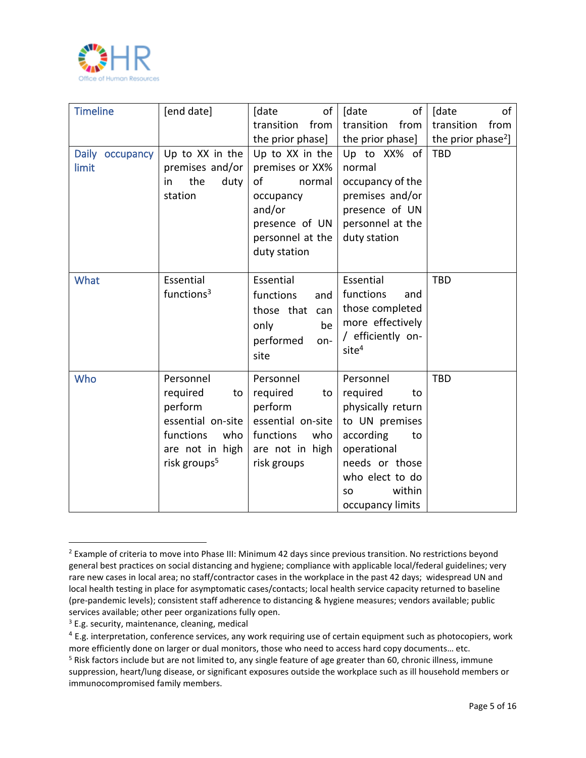

| <b>Timeline</b>          | [end date]                                                                                                                     | of<br>[date<br>transition<br>from<br>the prior phase]                                                                           | of<br>[date<br>transition<br>from<br>the prior phase]                                                                                                                          | of<br>[date<br>transition<br>from<br>the prior phase <sup>2</sup> ] |
|--------------------------|--------------------------------------------------------------------------------------------------------------------------------|---------------------------------------------------------------------------------------------------------------------------------|--------------------------------------------------------------------------------------------------------------------------------------------------------------------------------|---------------------------------------------------------------------|
| Daily occupancy<br>limit | Up to XX in the<br>premises and/or<br>the<br>duty<br>in<br>station                                                             | Up to XX in the<br>premises or XX%<br>of<br>normal<br>occupancy<br>and/or<br>presence of UN<br>personnel at the<br>duty station | Up to XX% of<br>normal<br>occupancy of the<br>premises and/or<br>presence of UN<br>personnel at the<br>duty station                                                            | <b>TBD</b>                                                          |
| What                     | Essential<br>functions $3$                                                                                                     | Essential<br>functions<br>and<br>those that<br>can<br>only<br>be<br>performed<br>on-<br>site                                    | Essential<br>functions<br>and<br>those completed<br>more effectively<br>/ efficiently on-<br>site <sup>4</sup>                                                                 | <b>TBD</b>                                                          |
| Who                      | Personnel<br>required<br>to<br>perform<br>essential on-site<br>who<br>functions<br>are not in high<br>risk groups <sup>5</sup> | Personnel<br>required<br>to<br>perform<br>essential on-site<br>who<br>functions<br>are not in high<br>risk groups               | Personnel<br>required<br>to<br>physically return<br>to UN premises<br>according<br>to<br>operational<br>needs or those<br>who elect to do<br>within<br>SO.<br>occupancy limits | <b>TBD</b>                                                          |

<sup>&</sup>lt;sup>2</sup> Example of criteria to move into Phase III: Minimum 42 days since previous transition. No restrictions beyond general best practices on social distancing and hygiene; compliance with applicable local/federal guidelines; very rare new cases in local area; no staff/contractor cases in the workplace in the past 42 days; widespread UN and local health testing in place for asymptomatic cases/contacts; local health service capacity returned to baseline (pre-pandemic levels); consistent staff adherence to distancing & hygiene measures; vendors available; public services available; other peer organizations fully open.

<sup>&</sup>lt;sup>3</sup> E.g. security, maintenance, cleaning, medical

<sup>&</sup>lt;sup>4</sup> E.g. interpretation, conference services, any work requiring use of certain equipment such as photocopiers, work more efficiently done on larger or dual monitors, those who need to access hard copy documents… etc. <sup>5</sup> Risk factors include but are not limited to, any single feature of age greater than 60, chronic illness, immune suppression, heart/lung disease, or significant exposures outside the workplace such as ill household members or immunocompromised family members.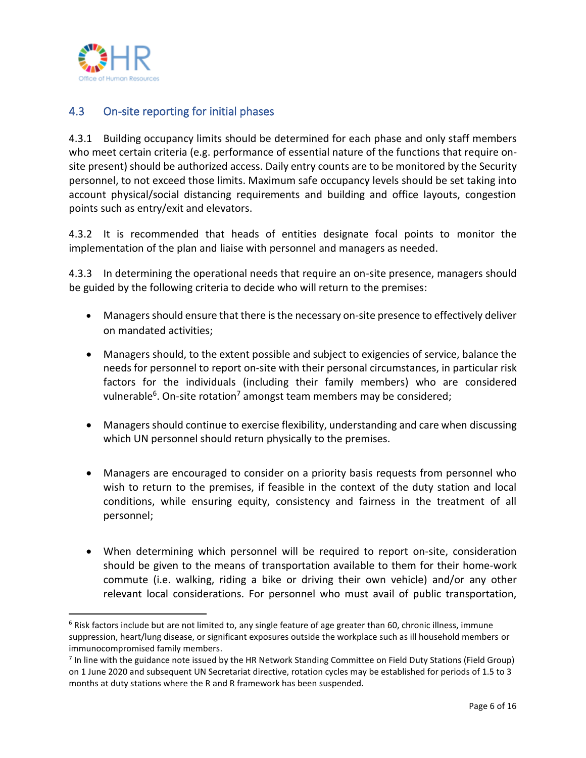

## 4.3 On-site reporting for initial phases

4.3.1 Building occupancy limits should be determined for each phase and only staff members who meet certain criteria (e.g. performance of essential nature of the functions that require onsite present) should be authorized access. Daily entry counts are to be monitored by the Security personnel, to not exceed those limits. Maximum safe occupancy levels should be set taking into account physical/social distancing requirements and building and office layouts, congestion points such as entry/exit and elevators.

4.3.2 It is recommended that heads of entities designate focal points to monitor the implementation of the plan and liaise with personnel and managers as needed.

4.3.3 In determining the operational needs that require an on-site presence, managers should be guided by the following criteria to decide who will return to the premises:

- Managers should ensure that there is the necessary on-site presence to effectively deliver on mandated activities;
- Managers should, to the extent possible and subject to exigencies of service, balance the needs for personnel to report on-site with their personal circumstances, in particular risk factors for the individuals (including their family members) who are considered vulnerable<sup>6</sup>. On-site rotation<sup>7</sup> amongst team members may be considered;
- Managers should continue to exercise flexibility, understanding and care when discussing which UN personnel should return physically to the premises.
- Managers are encouraged to consider on a priority basis requests from personnel who wish to return to the premises, if feasible in the context of the duty station and local conditions, while ensuring equity, consistency and fairness in the treatment of all personnel;
- When determining which personnel will be required to report on-site, consideration should be given to the means of transportation available to them for their home-work commute (i.e. walking, riding a bike or driving their own vehicle) and/or any other relevant local considerations. For personnel who must avail of public transportation,

 $6$  Risk factors include but are not limited to, any single feature of age greater than 60, chronic illness, immune suppression, heart/lung disease, or significant exposures outside the workplace such as ill household members or immunocompromised family members.

<sup>&</sup>lt;sup>7</sup> In line with the guidance note issued by the HR Network Standing Committee on Field Duty Stations (Field Group) on 1 June 2020 and subsequent UN Secretariat directive, rotation cycles may be established for periods of 1.5 to 3 months at duty stations where the R and R framework has been suspended.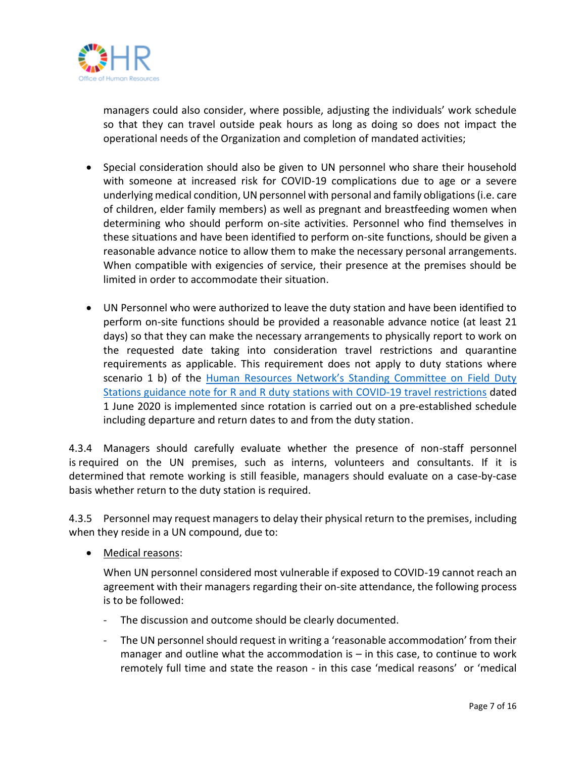

managers could also consider, where possible, adjusting the individuals' work schedule so that they can travel outside peak hours as long as doing so does not impact the operational needs of the Organization and completion of mandated activities;

- Special consideration should also be given to UN personnel who share their household with someone at increased risk for COVID-19 complications due to age or a severe underlying medical condition, UN personnel with personal and family obligations (i.e. care of children, elder family members) as well as pregnant and breastfeeding women when determining who should perform on-site activities. Personnel who find themselves in these situations and have been identified to perform on-site functions, should be given a reasonable advance notice to allow them to make the necessary personal arrangements. When compatible with exigencies of service, their presence at the premises should be limited in order to accommodate their situation.
- UN Personnel who were authorized to leave the duty station and have been identified to perform on-site functions should be provided a reasonable advance notice (at least 21 days) so that they can make the necessary arrangements to physically report to work on the requested date taking into consideration travel restrictions and quarantine requirements as applicable. This requirement does not apply to duty stations where scenario 1 b) of the Human Resources Network's Standing Committee on Field Duty Stations guidance note for R and R [duty stations with COVID-19 travel restrictions](https://www.un.org/sites/un2.un.org/files/covid_001_guidance_for_duty_stations_in_covid-19-affected_countries_entitled_to_rr_ra_e.pdf) dated 1 June 2020 is implemented since rotation is carried out on a pre-established schedule including departure and return dates to and from the duty station.

4.3.4 Managers should carefully evaluate whether the presence of non-staff personnel is required on the UN premises, such as interns, volunteers and consultants. If it is determined that remote working is still feasible, managers should evaluate on a case-by-case basis whether return to the duty station is required.

4.3.5 Personnel may request managers to delay their physical return to the premises, including when they reside in a UN compound, due to:

• Medical reasons:

When UN personnel considered most vulnerable if exposed to COVID-19 cannot reach an agreement with their managers regarding their on-site attendance, the following process is to be followed:

- The discussion and outcome should be clearly documented.
- The UN personnel should request in writing a 'reasonable accommodation' from their manager and outline what the accommodation is – in this case, to continue to work remotely full time and state the reason - in this case 'medical reasons' or 'medical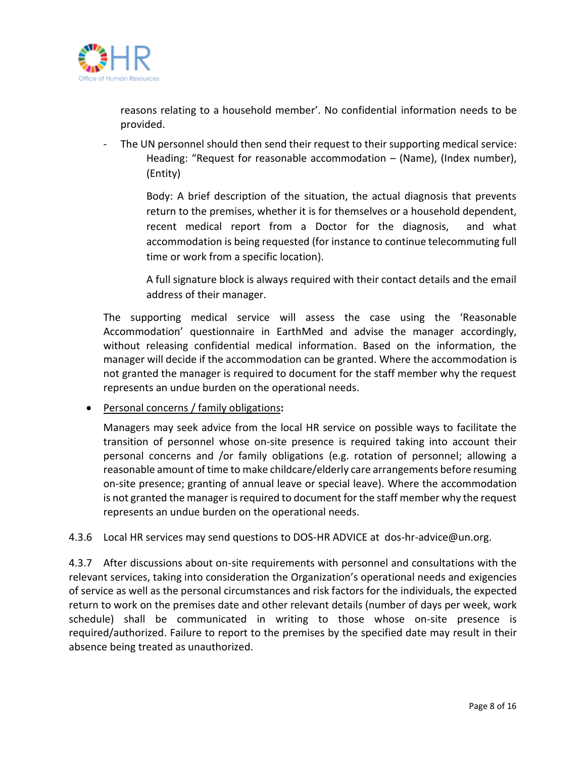

reasons relating to a household member'. No confidential information needs to be provided.

- The UN personnel should then send their request to their supporting medical service: Heading: "Request for reasonable accommodation – (Name), (Index number), (Entity)

> Body: A brief description of the situation, the actual diagnosis that prevents return to the premises, whether it is for themselves or a household dependent, recent medical report from a Doctor for the diagnosis, and what accommodation is being requested (for instance to continue telecommuting full time or work from a specific location).

> A full signature block is always required with their contact details and the email address of their manager.

The supporting medical service will assess the case using the 'Reasonable Accommodation' questionnaire in EarthMed and advise the manager accordingly, without releasing confidential medical information. Based on the information, the manager will decide if the accommodation can be granted. Where the accommodation is not granted the manager is required to document for the staff member why the request represents an undue burden on the operational needs.

• Personal concerns / family obligations**:**

Managers may seek advice from the local HR service on possible ways to facilitate the transition of personnel whose on-site presence is required taking into account their personal concerns and /or family obligations (e.g. rotation of personnel; allowing a reasonable amount of time to make childcare/elderly care arrangements before resuming on-site presence; granting of annual leave or special leave). Where the accommodation is not granted the manager is required to document for the staff member why the request represents an undue burden on the operational needs.

4.3.6 Local HR services may send questions to DOS-HR ADVICE at [dos-hr-advice@un.org.](mailto:dos-hr-advice@un.org)

4.3.7 After discussions about on-site requirements with personnel and consultations with the relevant services, taking into consideration the Organization's operational needs and exigencies of service as well as the personal circumstances and risk factors for the individuals, the expected return to work on the premises date and other relevant details (number of days per week, work schedule) shall be communicated in writing to those whose on-site presence is required/authorized. Failure to report to the premises by the specified date may result in their absence being treated as unauthorized.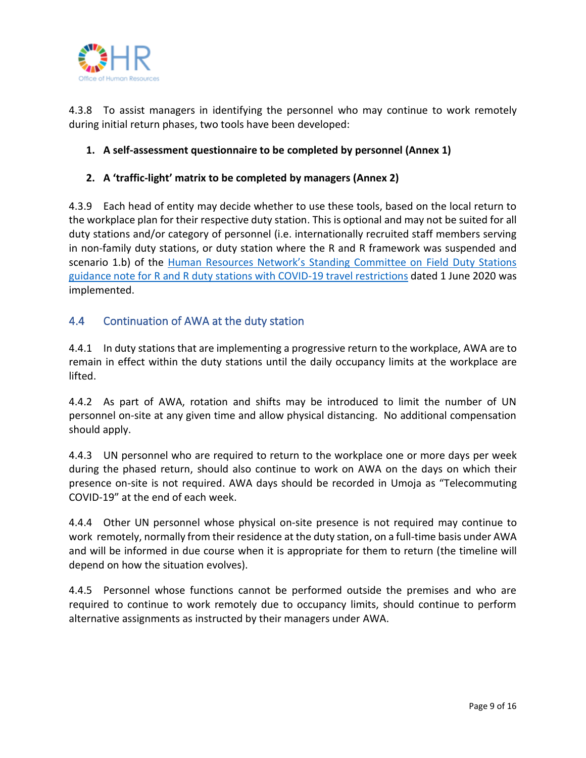

4.3.8 To assist managers in identifying the personnel who may continue to work remotely during initial return phases, two tools have been developed:

## **1. A self-assessment questionnaire to be completed by personnel (Annex 1)**

## **2. A 'traffic-light' matrix to be completed by managers (Annex 2)**

4.3.9 Each head of entity may decide whether to use these tools, based on the local return to the workplace plan for their respective duty station. This is optional and may not be suited for all duty stations and/or category of personnel (i.e. internationally recruited staff members serving in non-family duty stations, or duty station where the R and R framework was suspended and scenario 1.b) of the [Human Resources Network's Standing Committee on Field Duty Stations](https://www.un.org/sites/un2.un.org/files/covid_001_guidance_for_duty_stations_in_covid-19-affected_countries_entitled_to_rr_ra_e.pdf)  guidance note for R and R [duty stations with COVID-19 travel restrictions](https://www.un.org/sites/un2.un.org/files/covid_001_guidance_for_duty_stations_in_covid-19-affected_countries_entitled_to_rr_ra_e.pdf) dated 1 June 2020 was implemented.

## 4.4 Continuation of AWA at the duty station

4.4.1 In duty stations that are implementing a progressive return to the workplace, AWA are to remain in effect within the duty stations until the daily occupancy limits at the workplace are lifted.

4.4.2 As part of AWA, rotation and shifts may be introduced to limit the number of UN personnel on-site at any given time and allow physical distancing. No additional compensation should apply.

4.4.3 UN personnel who are required to return to the workplace one or more days per week during the phased return, should also continue to work on AWA on the days on which their presence on-site is not required. AWA days should be recorded in Umoja as "Telecommuting COVID-19" at the end of each week.

4.4.4 Other UN personnel whose physical on-site presence is not required may continue to work remotely, normally from their residence at the duty station, on a full-time basis under AWA and will be informed in due course when it is appropriate for them to return (the timeline will depend on how the situation evolves).

4.4.5 Personnel whose functions cannot be performed outside the premises and who are required to continue to work remotely due to occupancy limits, should continue to perform alternative assignments as instructed by their managers under AWA.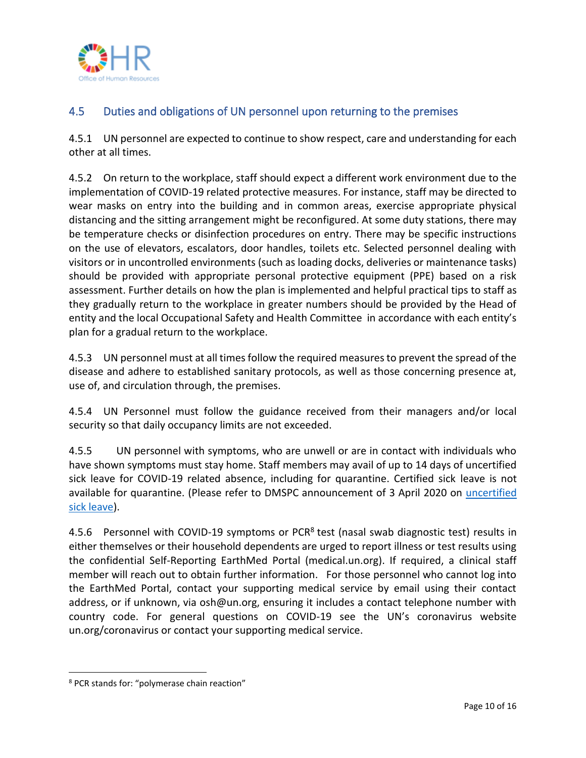

## 4.5 Duties and obligations of UN personnel upon returning to the premises

4.5.1 UN personnel are expected to continue to show respect, care and understanding for each other at all times.

4.5.2 On return to the workplace, staff should expect a different work environment due to the implementation of COVID-19 related protective measures. For instance, staff may be directed to wear masks on entry into the building and in common areas, exercise appropriate physical distancing and the sitting arrangement might be reconfigured. At some duty stations, there may be temperature checks or disinfection procedures on entry. There may be specific instructions on the use of elevators, escalators, door handles, toilets etc. Selected personnel dealing with visitors or in uncontrolled environments (such as loading docks, deliveries or maintenance tasks) should be provided with appropriate personal protective equipment (PPE) based on a risk assessment. Further details on how the plan is implemented and helpful practical tips to staff as they gradually return to the workplace in greater numbers should be provided by the Head of entity and the local Occupational Safety and Health Committee in accordance with each entity's plan for a gradual return to the workplace.

4.5.3 UN personnel must at all times follow the required measures to prevent the spread of the disease and adhere to established sanitary protocols, as well as those concerning presence at, use of, and circulation through, the premises.

4.5.4 UN Personnel must follow the guidance received from their managers and/or local security so that daily occupancy limits are not exceeded.

4.5.5 UN personnel with symptoms, who are unwell or are in contact with individuals who have shown symptoms must stay home. Staff members may avail of up to 14 days of uncertified sick leave for COVID-19 related absence, including for quarantine. Certified sick leave is not available for quarantine. (Please refer to DMSPC announcement of 3 April 2020 on [uncertified](https://iseek.un.org/nyc/gva/announcement/uncertified-sick-leave)  [sick leave\)](https://iseek.un.org/nyc/gva/announcement/uncertified-sick-leave).

4.5.6 Personnel with COVID-19 symptoms or PCR<sup>8</sup> test (nasal swab diagnostic test) results in either themselves or their household dependents are urged to report illness or test results using the confidential Self-Reporting EarthMed Portal (medical.un.org). If required, a clinical staff member will reach out to obtain further information. For those personnel who cannot log into the EarthMed Portal, contact your supporting medical service by email using their contact address, or if unknown, via osh@un.org, ensuring it includes a contact telephone number with country code. For general questions on COVID-19 see the UN's coronavirus website un.org/coronavirus or contact your supporting medical service.

<sup>8</sup> PCR stands for: "polymerase chain reaction"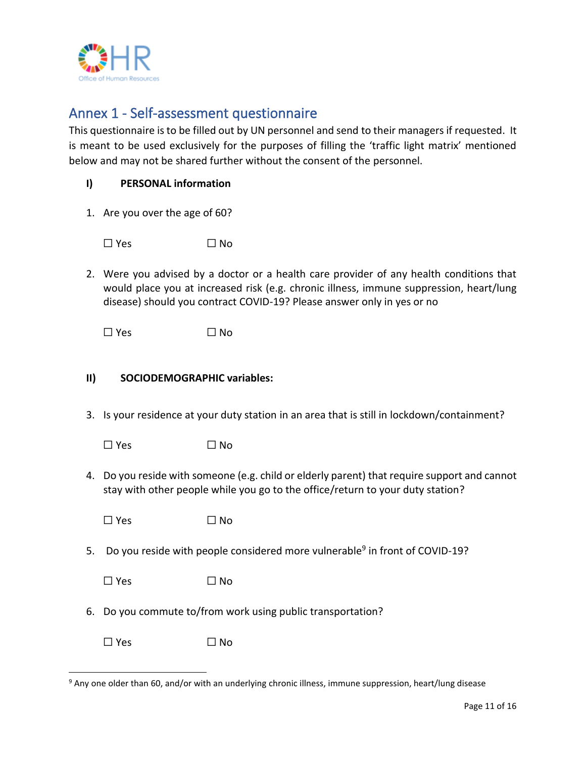

## Annex 1 - Self-assessment questionnaire

This questionnaire is to be filled out by UN personnel and send to their managers if requested. It is meant to be used exclusively for the purposes of filling the 'traffic light matrix' mentioned below and may not be shared further without the consent of the personnel.

| I) | <b>PERSONAL information</b> |  |
|----|-----------------------------|--|
|----|-----------------------------|--|

1. Are you over the age of 60?

 $\square$  Yes  $\square$  No

2. Were you advised by a doctor or a health care provider of any health conditions that would place you at increased risk (e.g. chronic illness, immune suppression, heart/lung disease) should you contract COVID-19? Please answer only in yes or no

 $\square$  Yes  $\square$  No

### **II) SOCIODEMOGRAPHIC variables:**

3. Is your residence at your duty station in an area that is still in lockdown/containment?

| $\Box$ Yes<br>$\Box$ No |  |
|-------------------------|--|
|-------------------------|--|

4. Do you reside with someone (e.g. child or elderly parent) that require support and cannot stay with other people while you go to the office/return to your duty station?

| $\Box$ Yes | $\Box$ No |
|------------|-----------|
|------------|-----------|

5. Do you reside with people considered more vulnerable<sup>9</sup> in front of COVID-19?

| $\Box$ Yes | $\Box$ No |
|------------|-----------|
|------------|-----------|

- 6. Do you commute to/from work using public transportation?
	- $\square$  Yes  $\square$  No

<sup>9</sup> Any one older than 60, and/or with an underlying chronic illness, immune suppression, heart/lung disease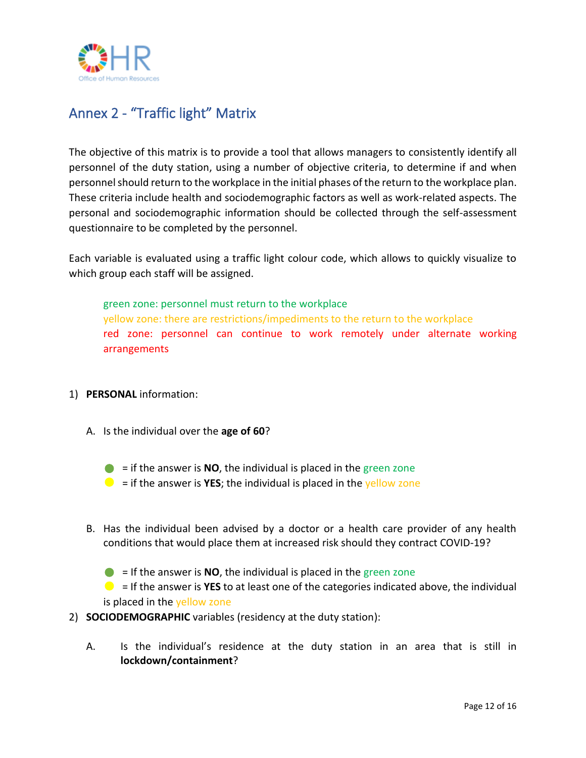

# Annex 2 - "Traffic light" Matrix

The objective of this matrix is to provide a tool that allows managers to consistently identify all personnel of the duty station, using a number of objective criteria, to determine if and when personnel should return to the workplace in the initial phases of the return to the workplace plan. These criteria include health and sociodemographic factors as well as work-related aspects. The personal and sociodemographic information should be collected through the self-assessment questionnaire to be completed by the personnel.

Each variable is evaluated using a traffic light colour code, which allows to quickly visualize to which group each staff will be assigned.

green zone: personnel must return to the workplace yellow zone: there are restrictions/impediments to the return to the workplace red zone: personnel can continue to work remotely under alternate working arrangements

### 1) **PERSONAL** information:

- A. Is the individual over the **age of 60**?
	- $\bullet$  = if the answer is **NO**, the individual is placed in the green zone
	- $\bullet$  = if the answer is **YES**; the individual is placed in the yellow zone
- B. Has the individual been advised by a doctor or a health care provider of any health conditions that would place them at increased risk should they contract COVID-19?

 $\bullet$  = If the answer is **NO**, the individual is placed in the green zone = If the answer is **YES** to at least one of the categories indicated above, the individual is placed in the yellow zone

2) **SOCIODEMOGRAPHIC** variables (residency at the duty station):

A. Is the individual's residence at the duty station in an area that is still in **lockdown/containment**?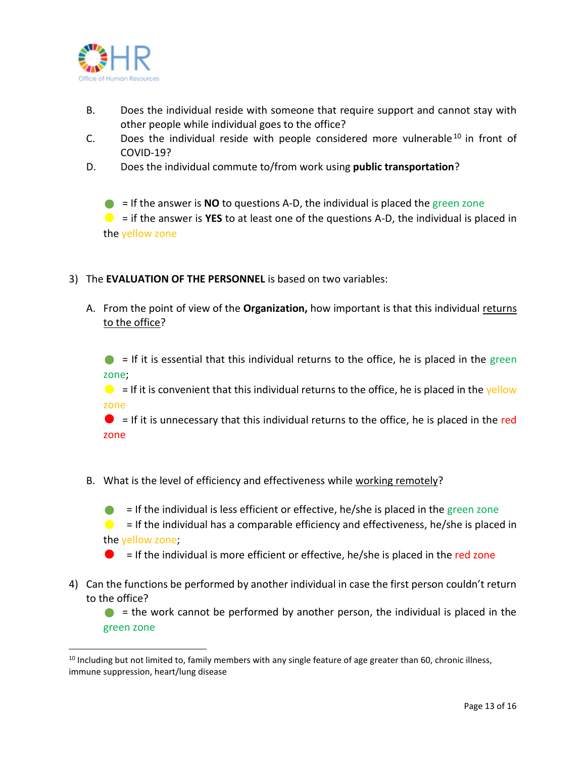

- B. Does the individual reside with someone that require support and cannot stay with other people while individual goes to the office?
- C. Does the individual reside with people considered more vulnerable  $10$  in front of COVID-19?
- D. Does the individual commute to/from work using **public transportation**?
	- $\bullet$  = If the answer is **NO** to questions A-D, the individual is placed the green zone

 $\bullet$  = if the answer is **YES** to at least one of the questions A-D, the individual is placed in the yellow zone

- 3) The **EVALUATION OF THE PERSONNEL** is based on two variables:
	- A. From the point of view of the **Organization,** how important is that this individual returns to the office?

 $\bullet$  = If it is essential that this individual returns to the office, he is placed in the green zone;

 $\bullet$  = If it is convenient that this individual returns to the office, he is placed in the yellow zone

 $\bullet$  = If it is unnecessary that this individual returns to the office, he is placed in the red zone

B. What is the level of efficiency and effectiveness while working remotely?

 $\bullet$  = If the individual is less efficient or effective, he/she is placed in the green zone  $\bullet$  = If the individual has a comparable efficiency and effectiveness, he/she is placed in the yellow zone;

 $\bullet$  = If the individual is more efficient or effective, he/she is placed in the red zone

4) Can the functions be performed by another individual in case the first person couldn't return to the office?

 $\bullet$  = the work cannot be performed by another person, the individual is placed in the green zone

 $10$  Including but not limited to, family members with any single feature of age greater than 60, chronic illness, immune suppression, heart/lung disease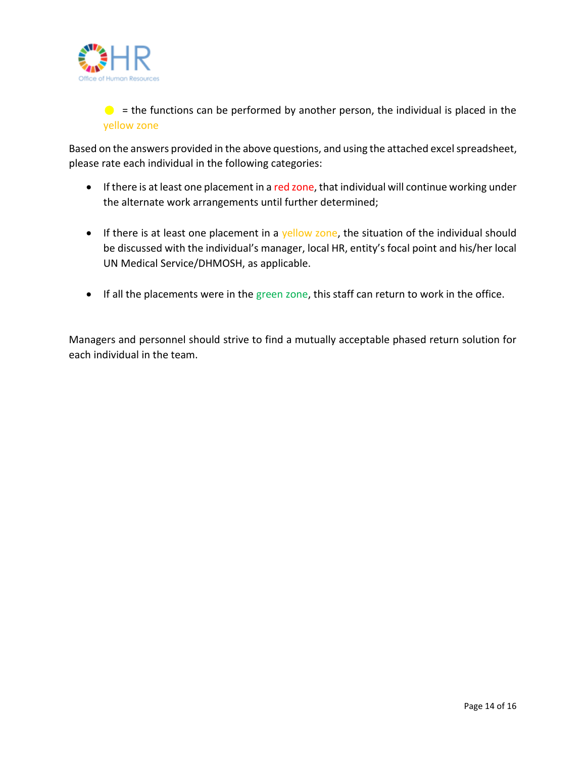

 $\bullet$  = the functions can be performed by another person, the individual is placed in the yellow zone

Based on the answers provided in the above questions, and using the attached excel spreadsheet, please rate each individual in the following categories:

- If there is at least one placement in a red zone, that individual will continue working under the alternate work arrangements until further determined;
- If there is at least one placement in a yellow zone, the situation of the individual should be discussed with the individual's manager, local HR, entity's focal point and his/her local UN Medical Service/DHMOSH, as applicable.
- If all the placements were in the green zone, this staff can return to work in the office.

Managers and personnel should strive to find a mutually acceptable phased return solution for each individual in the team.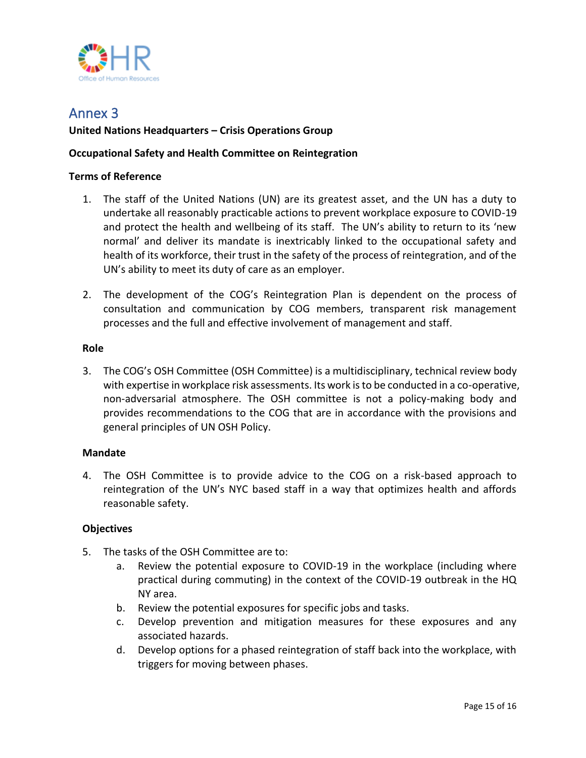

## Annex 3

### **United Nations Headquarters – Crisis Operations Group**

### **Occupational Safety and Health Committee on Reintegration**

### **Terms of Reference**

- 1. The staff of the United Nations (UN) are its greatest asset, and the UN has a duty to undertake all reasonably practicable actions to prevent workplace exposure to COVID-19 and protect the health and wellbeing of its staff. The UN's ability to return to its 'new normal' and deliver its mandate is inextricably linked to the occupational safety and health of its workforce, their trust in the safety of the process of reintegration, and of the UN's ability to meet its duty of care as an employer.
- 2. The development of the COG's Reintegration Plan is dependent on the process of consultation and communication by COG members, transparent risk management processes and the full and effective involvement of management and staff.

### **Role**

3. The COG's OSH Committee (OSH Committee) is a multidisciplinary, technical review body with expertise in workplace risk assessments. Its work is to be conducted in a co-operative, non-adversarial atmosphere. The OSH committee is not a policy-making body and provides recommendations to the COG that are in accordance with the provisions and general principles of UN OSH Policy.

### **Mandate**

4. The OSH Committee is to provide advice to the COG on a risk-based approach to reintegration of the UN's NYC based staff in a way that optimizes health and affords reasonable safety.

### **Objectives**

- 5. The tasks of the OSH Committee are to:
	- a. Review the potential exposure to COVID-19 in the workplace (including where practical during commuting) in the context of the COVID-19 outbreak in the HQ NY area.
	- b. Review the potential exposures for specific jobs and tasks.
	- c. Develop prevention and mitigation measures for these exposures and any associated hazards.
	- d. Develop options for a phased reintegration of staff back into the workplace, with triggers for moving between phases.